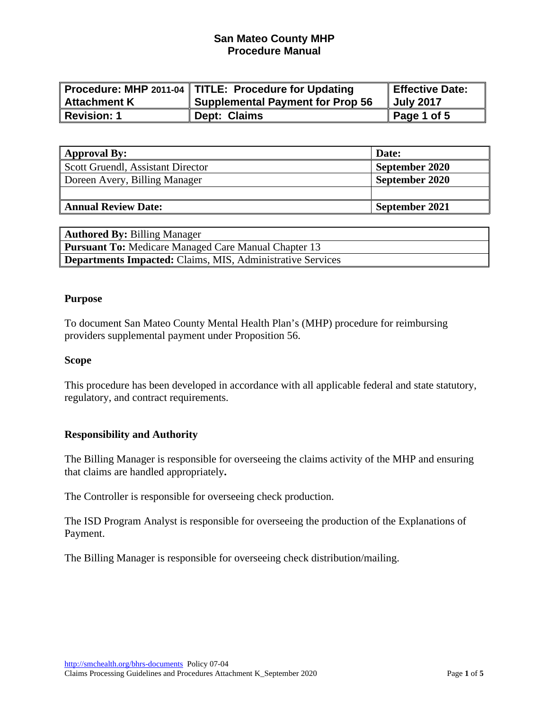|                  | Procedure: MHP 2011-04   TITLE: Procedure for Updating | Effective Date: |
|------------------|--------------------------------------------------------|-----------------|
| Attachment K     | <b>Supplemental Payment for Prop 56</b>                | Uuly 2017       |
| $\ $ Revision: 1 | Dept: Claims                                           | Page 1 of 5     |

| <b>Approval By:</b>               | Date:          |
|-----------------------------------|----------------|
| Scott Gruendl, Assistant Director | September 2020 |
| Doreen Avery, Billing Manager     | September 2020 |
|                                   |                |
| <b>Annual Review Date:</b>        | September 2021 |

| <b>Authored By: Billing Manager</b>                               |
|-------------------------------------------------------------------|
| <b>Pursuant To: Medicare Managed Care Manual Chapter 13</b>       |
| <b>Departments Impacted:</b> Claims, MIS, Administrative Services |

#### **Purpose**

To document San Mateo County Mental Health Plan's (MHP) procedure for reimbursing providers supplemental payment under Proposition 56.

#### **Scope**

This procedure has been developed in accordance with all applicable federal and state statutory, regulatory, and contract requirements.

#### **Responsibility and Authority**

The Billing Manager is responsible for overseeing the claims activity of the MHP and ensuring that claims are handled appropriately**.** 

The Controller is responsible for overseeing check production.

The ISD Program Analyst is responsible for overseeing the production of the Explanations of Payment.

The Billing Manager is responsible for overseeing check distribution/mailing.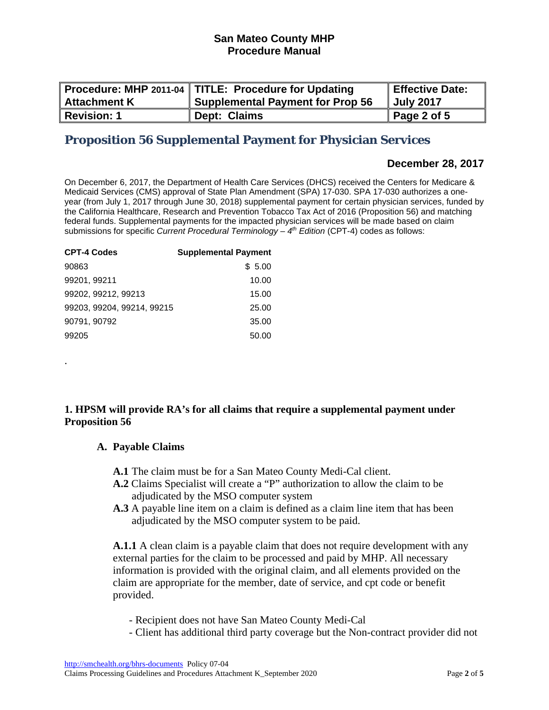| <b>Attachment K</b> | Procedure: MHP 2011-04   TITLE: Procedure for Updating<br><b>Supplemental Payment for Prop 56</b> | Effective Date:<br>Uuly 2017 |
|---------------------|---------------------------------------------------------------------------------------------------|------------------------------|
| <b>Revision: 1</b>  | Dept: Claims                                                                                      | Page 2 of 5                  |

# **Proposition 56 Supplemental Payment for Physician Services**

# **December 28, 2017**

On December 6, 2017, the Department of Health Care Services (DHCS) received the Centers for Medicare & Medicaid Services (CMS) approval of State Plan Amendment (SPA) 17-030. SPA 17-030 authorizes a oneyear (from July 1, 2017 through June 30, 2018) supplemental payment for certain physician services, funded by the California Healthcare, Research and Prevention Tobacco Tax Act of 2016 (Proposition 56) and matching federal funds. Supplemental payments for the impacted physician services will be made based on claim submissions for specific *Current Procedural Terminology – 4th Edition* (CPT-4) codes as follows:

| <b>CPT-4 Codes</b>         | <b>Supplemental Payment</b> |
|----------------------------|-----------------------------|
| 90863                      | \$5.00                      |
| 99201, 99211               | 10.00                       |
| 99202, 99212, 99213        | 15.00                       |
| 99203, 99204, 99214, 99215 | 25.00                       |
| 90791, 90792               | 35.00                       |
| 99205                      | 50.00                       |

# **1. HPSM will provide RA's for all claims that require a supplemental payment under Proposition 56**

#### **A. Payable Claims**

.

- **A.1** The claim must be for a San Mateo County Medi-Cal client.
- **A.2** Claims Specialist will create a "P" authorization to allow the claim to be adjudicated by the MSO computer system
- **A.3** A payable line item on a claim is defined as a claim line item that has been adjudicated by the MSO computer system to be paid.

**A.1.1** A clean claim is a payable claim that does not require development with any external parties for the claim to be processed and paid by MHP. All necessary information is provided with the original claim, and all elements provided on the claim are appropriate for the member, date of service, and cpt code or benefit provided.

- Recipient does not have San Mateo County Medi-Cal
- Client has additional third party coverage but the Non-contract provider did not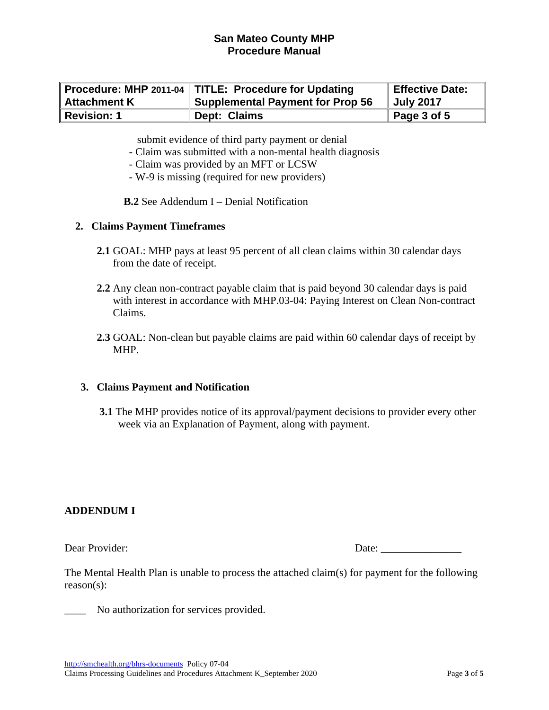|                     | Procedure: MHP 2011-04   TITLE: Procedure for Updating | Effective Date: |
|---------------------|--------------------------------------------------------|-----------------|
| <b>Attachment K</b> | <b>Supplemental Payment for Prop 56</b>                | Uuly 2017       |
| <b>Revision: 1</b>  | Dept: Claims                                           | Page 3 of 5     |

submit evidence of third party payment or denial

- Claim was submitted with a non-mental health diagnosis
- Claim was provided by an MFT or LCSW
- W-9 is missing (required for new providers)

**B.2** See Addendum I – Denial Notification

#### **2. Claims Payment Timeframes**

- **2.1** GOAL: MHP pays at least 95 percent of all clean claims within 30 calendar days from the date of receipt.
- **2.2** Any clean non-contract payable claim that is paid beyond 30 calendar days is paid with interest in accordance with MHP.03-04: Paying Interest on Clean Non-contract Claims.
- **2.3** GOAL: Non-clean but payable claims are paid within 60 calendar days of receipt by MHP.

#### **3. Claims Payment and Notification**

 **3.1** The MHP provides notice of its approval/payment decisions to provider every other week via an Explanation of Payment, along with payment.

#### **ADDENDUM I**

Dear Provider: Date:

The Mental Health Plan is unable to process the attached claim(s) for payment for the following reason(s):

\_\_\_\_ No authorization for services provided.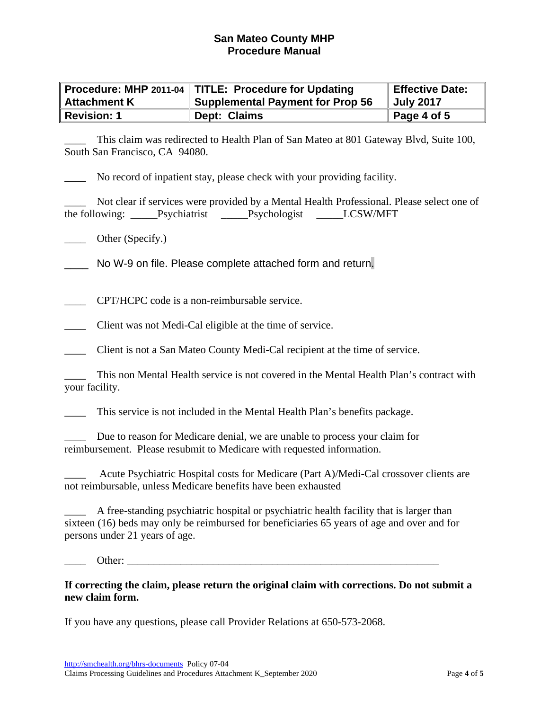|                     | Procedure: MHP 2011-04   TITLE: Procedure for Updating | Effective Date: |
|---------------------|--------------------------------------------------------|-----------------|
| <b>Attachment K</b> | <b>Supplemental Payment for Prop 56</b>                | Uuly 2017       |
| <b>Revision: 1</b>  | Dept: Claims                                           | Page 4 of 5     |

\_\_\_\_ This claim was redirected to Health Plan of San Mateo at 801 Gateway Blvd, Suite 100, South San Francisco, CA 94080.

No record of inpatient stay, please check with your providing facility.

\_\_\_\_ Not clear if services were provided by a Mental Health Professional. Please select one of the following: \_\_\_\_\_Psychiatrist \_\_\_\_\_\_Psychologist \_\_\_\_\_\_LCSW/MFT

Other (Specify.)

No W-9 on file. Please complete attached form and return.

\_\_\_\_ CPT/HCPC code is a non-reimbursable service.

\_\_\_\_ Client was not Medi-Cal eligible at the time of service.

\_\_\_\_ Client is not a San Mateo County Medi-Cal recipient at the time of service.

This non Mental Health service is not covered in the Mental Health Plan's contract with your facility.

This service is not included in the Mental Health Plan's benefits package.

Due to reason for Medicare denial, we are unable to process your claim for reimbursement. Please resubmit to Medicare with requested information.

\_\_\_\_ Acute Psychiatric Hospital costs for Medicare (Part A)/Medi-Cal crossover clients are not reimbursable, unless Medicare benefits have been exhausted

\_\_\_\_ A free-standing psychiatric hospital or psychiatric health facility that is larger than sixteen (16) beds may only be reimbursed for beneficiaries 65 years of age and over and for persons under 21 years of age.

\_\_\_\_ Other: \_\_\_\_\_\_\_\_\_\_\_\_\_\_\_\_\_\_\_\_\_\_\_\_\_\_\_\_\_\_\_\_\_\_\_\_\_\_\_\_\_\_\_\_\_\_\_\_\_\_\_\_\_\_\_\_\_\_

**If correcting the claim, please return the original claim with corrections. Do not submit a new claim form.** 

If you have any questions, please call Provider Relations at 650-573-2068.